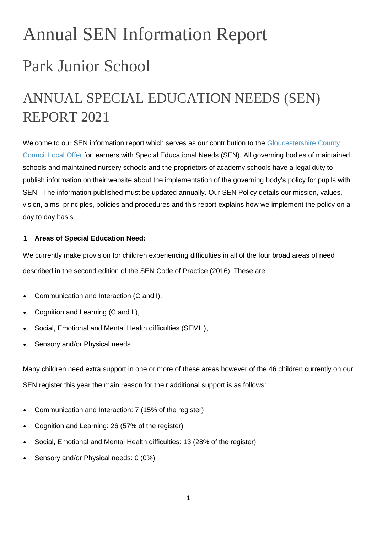# Annual SEN Information Report Park Junior School

# ANNUAL SPECIAL EDUCATION NEEDS (SEN) REPORT 2021

Welcome to our SEN information report which serves as our contribution to the Gloucestershire County [Council Local Offer](http://www.gloucestershire.gov.uk/schoolsnet/article/116672/The-Local-Offer) for learners with Special Educational Needs (SEN). All governing bodies of maintained schools and maintained nursery schools and the proprietors of academy schools have a legal duty to publish information on their website about the implementation of the governing body's policy for pupils with SEN. The information published must be updated annually. Our SEN Policy details our mission, values, vision, aims, principles, policies and procedures and this report explains how we implement the policy on a day to day basis.

# 1. **Areas of Special Education Need:**

We currently make provision for children experiencing difficulties in all of the four broad areas of need described in the second edition of the SEN Code of Practice (2016). These are:

- Communication and Interaction (C and I),
- Cognition and Learning (C and L),
- Social, Emotional and Mental Health difficulties (SEMH),
- Sensory and/or Physical needs

Many children need extra support in one or more of these areas however of the 46 children currently on our SEN register this year the main reason for their additional support is as follows:

- Communication and Interaction: 7 (15% of the register)
- Cognition and Learning: 26 (57% of the register)
- Social, Emotional and Mental Health difficulties: 13 (28% of the register)
- Sensory and/or Physical needs: 0 (0%)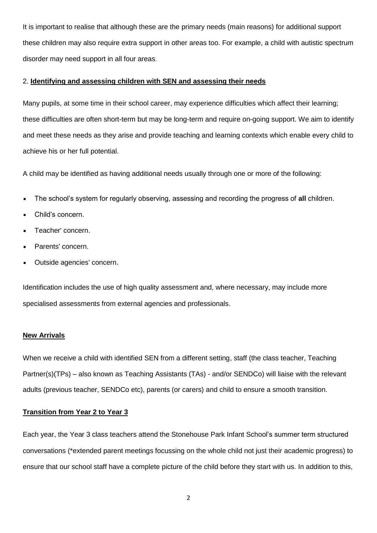It is important to realise that although these are the primary needs (main reasons) for additional support these children may also require extra support in other areas too. For example, a child with autistic spectrum disorder may need support in all four areas.

# 2. **Identifying and assessing children with SEN and assessing their needs**

Many pupils, at some time in their school career, may experience difficulties which affect their learning; these difficulties are often short-term but may be long-term and require on-going support. We aim to identify and meet these needs as they arise and provide teaching and learning contexts which enable every child to achieve his or her full potential.

A child may be identified as having additional needs usually through one or more of the following:

- The school's system for regularly observing, assessing and recording the progress of **all** children.
- Child's concern.
- Teacher' concern.
- Parents' concern.
- Outside agencies' concern.

Identification includes the use of high quality assessment and, where necessary, may include more specialised assessments from external agencies and professionals.

#### **New Arrivals**

When we receive a child with identified SEN from a different setting, staff (the class teacher, Teaching Partner(s)(TPs) – also known as Teaching Assistants (TAs) - and/or SENDCo) will liaise with the relevant adults (previous teacher, SENDCo etc), parents (or carers) and child to ensure a smooth transition.

# **Transition from Year 2 to Year 3**

Each year, the Year 3 class teachers attend the Stonehouse Park Infant School's summer term structured conversations (\*extended parent meetings focussing on the whole child not just their academic progress) to ensure that our school staff have a complete picture of the child before they start with us. In addition to this,

2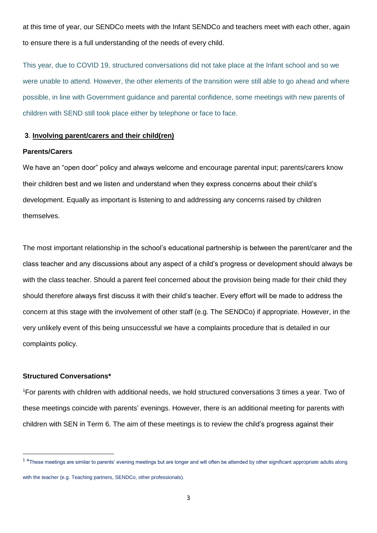at this time of year, our SENDCo meets with the Infant SENDCo and teachers meet with each other, again to ensure there is a full understanding of the needs of every child.

This year, due to COVID 19, structured conversations did not take place at the Infant school and so we were unable to attend. However, the other elements of the transition were still able to go ahead and where possible, in line with Government guidance and parental confidence, some meetings with new parents of children with SEND still took place either by telephone or face to face.

# **3**. **Involving parent/carers and their child(ren)**

#### **Parents/Carers**

We have an "open door" policy and always welcome and encourage parental input; parents/carers know their children best and we listen and understand when they express concerns about their child's development. Equally as important is listening to and addressing any concerns raised by children themselves.

The most important relationship in the school's educational partnership is between the parent/carer and the class teacher and any discussions about any aspect of a child's progress or development should always be with the class teacher. Should a parent feel concerned about the provision being made for their child they should therefore always first discuss it with their child's teacher. Every effort will be made to address the concern at this stage with the involvement of other staff (e.g. The SENDCo) if appropriate. However, in the very unlikely event of this being unsuccessful we have a complaints procedure that is detailed in our complaints policy.

#### **Structured Conversations\***

1

<sup>1</sup>For parents with children with additional needs, we hold structured conversations 3 times a year. Two of these meetings coincide with parents' evenings. However, there is an additional meeting for parents with children with SEN in Term 6. The aim of these meetings is to review the child's progress against their

<sup>&</sup>lt;sup>1</sup> \*These meetings are similar to parents' evening meetings but are longer and will often be attended by other significant appropriate adults along with the teacher (e.g. Teaching partners, SENDCo, other professionals).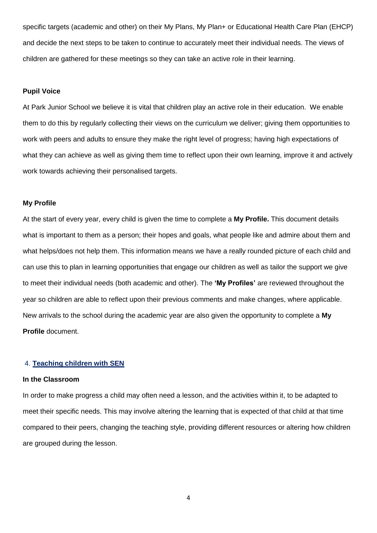specific targets (academic and other) on their My Plans, My Plan+ or Educational Health Care Plan (EHCP) and decide the next steps to be taken to continue to accurately meet their individual needs. The views of children are gathered for these meetings so they can take an active role in their learning.

#### **Pupil Voice**

At Park Junior School we believe it is vital that children play an active role in their education. We enable them to do this by regularly collecting their views on the curriculum we deliver; giving them opportunities to work with peers and adults to ensure they make the right level of progress; having high expectations of what they can achieve as well as giving them time to reflect upon their own learning, improve it and actively work towards achieving their personalised targets.

#### **My Profile**

At the start of every year, every child is given the time to complete a **My Profile.** This document details what is important to them as a person; their hopes and goals, what people like and admire about them and what helps/does not help them. This information means we have a really rounded picture of each child and can use this to plan in learning opportunities that engage our children as well as tailor the support we give to meet their individual needs (both academic and other). The **'My Profiles'** are reviewed throughout the year so children are able to reflect upon their previous comments and make changes, where applicable. New arrivals to the school during the academic year are also given the opportunity to complete a **My Profile** document.

#### 4. **Teaching children with SEN**

#### **In the Classroom**

In order to make progress a child may often need a lesson, and the activities within it, to be adapted to meet their specific needs. This may involve altering the learning that is expected of that child at that time compared to their peers, changing the teaching style, providing different resources or altering how children are grouped during the lesson.

4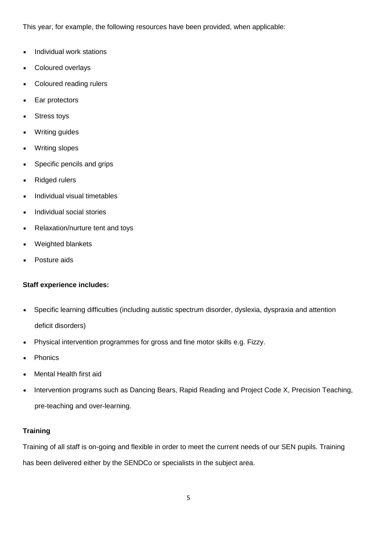This year, for example, the following resources have been provided, when applicable:

- Individual work stations
- Coloured overlays
- Coloured reading rulers
- Ear protectors
- Stress toys
- Writing guides
- Writing slopes
- Specific pencils and grips
- **Ridged rulers**
- Individual visual timetables
- Individual social stories
- Relaxation/nurture tent and toys
- Weighted blankets
- Posture aids

# **Staff experience includes:**

- Specific learning difficulties (including autistic spectrum disorder, dyslexia, dyspraxia and attention deficit disorders)
- Physical intervention programmes for gross and fine motor skills e.g. Fizzy.
- Phonics
- Mental Health first aid
- Intervention programs such as Dancing Bears, Rapid Reading and Project Code X, Precision Teaching, pre-teaching and over-learning.

# **Training**

Training of all staff is on-going and flexible in order to meet the current needs of our SEN pupils. Training has been delivered either by the SENDCo or specialists in the subject area.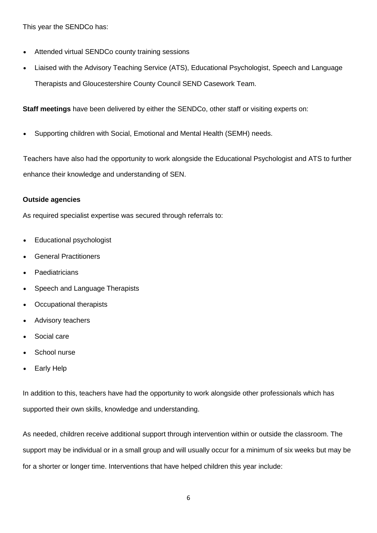This year the SENDCo has:

- Attended virtual SENDCo county training sessions
- Liaised with the Advisory Teaching Service (ATS), Educational Psychologist, Speech and Language Therapists and Gloucestershire County Council SEND Casework Team.

**Staff meetings** have been delivered by either the SENDCo, other staff or visiting experts on:

• Supporting children with Social, Emotional and Mental Health (SEMH) needs.

Teachers have also had the opportunity to work alongside the Educational Psychologist and ATS to further enhance their knowledge and understanding of SEN.

## **Outside agencies**

As required specialist expertise was secured through referrals to:

- Educational psychologist
- General Practitioners
- **Paediatricians**
- Speech and Language Therapists
- Occupational therapists
- Advisory teachers
- Social care
- School nurse
- **Early Help**

In addition to this, teachers have had the opportunity to work alongside other professionals which has supported their own skills, knowledge and understanding.

As needed, children receive additional support through intervention within or outside the classroom. The support may be individual or in a small group and will usually occur for a minimum of six weeks but may be for a shorter or longer time. Interventions that have helped children this year include: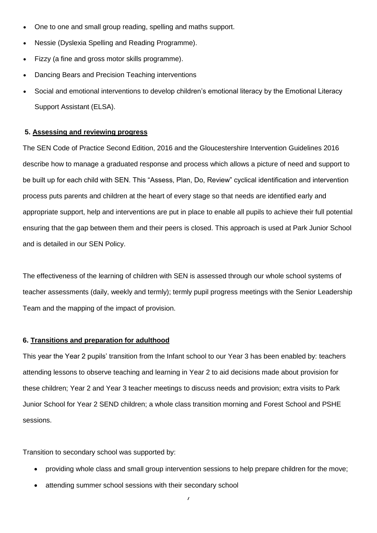- One to one and small group reading, spelling and maths support.
- Nessie (Dyslexia Spelling and Reading Programme).
- Fizzy (a fine and gross motor skills programme).
- Dancing Bears and Precision Teaching interventions
- Social and emotional interventions to develop children's emotional literacy by the Emotional Literacy Support Assistant (ELSA).

#### **5. Assessing and reviewing progress**

The SEN Code of Practice Second Edition, 2016 and the Gloucestershire Intervention Guidelines 2016 describe how to manage a graduated response and process which allows a picture of need and support to be built up for each child with SEN. This "Assess, Plan, Do, Review" cyclical identification and intervention process puts parents and children at the heart of every stage so that needs are identified early and appropriate support, help and interventions are put in place to enable all pupils to achieve their full potential ensuring that the gap between them and their peers is closed. This approach is used at Park Junior School and is detailed in our SEN Policy.

The effectiveness of the learning of children with SEN is assessed through our whole school systems of teacher assessments (daily, weekly and termly); termly pupil progress meetings with the Senior Leadership Team and the mapping of the impact of provision.

#### **6. Transitions and preparation for adulthood**

This year the Year 2 pupils' transition from the Infant school to our Year 3 has been enabled by: teachers attending lessons to observe teaching and learning in Year 2 to aid decisions made about provision for these children; Year 2 and Year 3 teacher meetings to discuss needs and provision; extra visits to Park Junior School for Year 2 SEND children; a whole class transition morning and Forest School and PSHE sessions.

Transition to secondary school was supported by:

- providing whole class and small group intervention sessions to help prepare children for the move;
- attending summer school sessions with their secondary school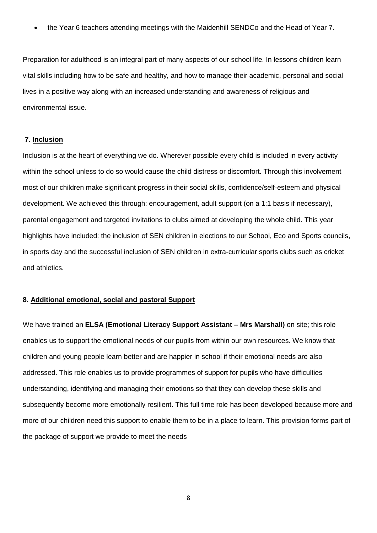• the Year 6 teachers attending meetings with the Maidenhill SENDCo and the Head of Year 7.

Preparation for adulthood is an integral part of many aspects of our school life. In lessons children learn vital skills including how to be safe and healthy, and how to manage their academic, personal and social lives in a positive way along with an increased understanding and awareness of religious and environmental issue.

#### **7. Inclusion**

Inclusion is at the heart of everything we do. Wherever possible every child is included in every activity within the school unless to do so would cause the child distress or discomfort. Through this involvement most of our children make significant progress in their social skills, confidence/self-esteem and physical development. We achieved this through: encouragement, adult support (on a 1:1 basis if necessary), parental engagement and targeted invitations to clubs aimed at developing the whole child. This year highlights have included: the inclusion of SEN children in elections to our School, Eco and Sports councils, in sports day and the successful inclusion of SEN children in extra-curricular sports clubs such as cricket and athletics.

## **8. Additional emotional, social and pastoral Support**

We have trained an **ELSA (Emotional Literacy Support Assistant – Mrs Marshall)** on site; this role enables us to support the emotional needs of our pupils from within our own resources. We know that children and young people learn better and are happier in school if their emotional needs are also addressed. This role enables us to provide programmes of support for pupils who have difficulties understanding, identifying and managing their emotions so that they can develop these skills and subsequently become more emotionally resilient. This full time role has been developed because more and more of our children need this support to enable them to be in a place to learn. This provision forms part of the package of support we provide to meet the needs

8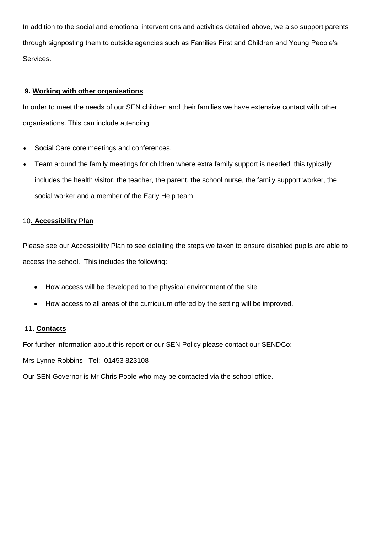In addition to the social and emotional interventions and activities detailed above, we also support parents through signposting them to outside agencies such as Families First and Children and Young People's Services.

# **9. Working with other organisations**

In order to meet the needs of our SEN children and their families we have extensive contact with other organisations. This can include attending:

- Social Care core meetings and conferences.
- Team around the family meetings for children where extra family support is needed; this typically includes the health visitor, the teacher, the parent, the school nurse, the family support worker, the social worker and a member of the Early Help team.

# 10. **Accessibility Plan**

Please see our Accessibility Plan to see detailing the steps we taken to ensure disabled pupils are able to access the school. This includes the following:

- How access will be developed to the physical environment of the site
- How access to all areas of the curriculum offered by the setting will be improved.

# **11. Contacts**

For further information about this report or our SEN Policy please contact our SENDCo:

Mrs Lynne Robbins– Tel: 01453 823108

Our SEN Governor is Mr Chris Poole who may be contacted via the school office.